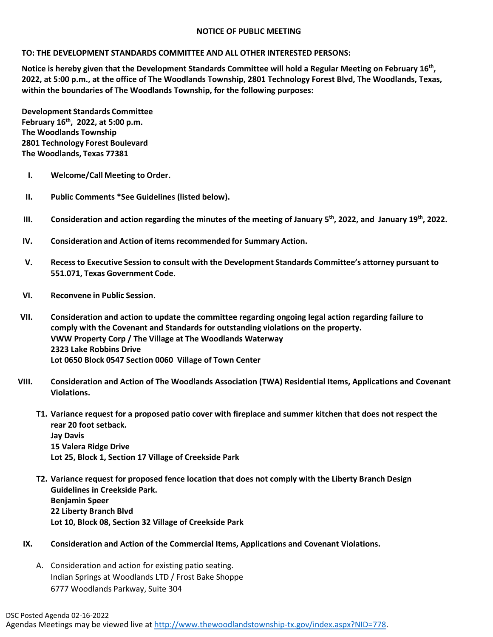## **NOTICE OF PUBLIC MEETING**

## **TO: THE DEVELOPMENT STANDARDS COMMITTEE AND ALL OTHER INTERESTED PERSONS:**

**Notice is hereby given that the Development Standards Committee will hold a Regular Meeting on February 16th, 2022, at 5:00 p.m., at the office of The Woodlands Township, 2801 Technology Forest Blvd, The Woodlands, Texas, within the boundaries of The Woodlands Township, for the following purposes:**

**Development Standards Committee February 16th, 2022, at 5:00 p.m. The Woodlands Township 2801 Technology Forest Boulevard The Woodlands, Texas 77381**

- **I. Welcome/Call Meeting to Order.**
- **II. Public Comments \*See Guidelines (listed below).**
- **III. Consideration and action regarding the minutes of the meeting of January 5th, 2022, and January 19th, 2022.**
- **IV. Consideration and Action of items recommended for Summary Action.**
- **V. Recessto Executive Session to consult with the Development Standards Committee's attorney pursuant to 551.071, Texas Government Code.**
- **VI. Reconvene in Public Session.**
- **VII. Consideration and action to update the committee regarding ongoing legal action regarding failure to comply with the Covenant and Standards for outstanding violations on the property. VWW Property Corp / The Village at The Woodlands Waterway 2323 Lake Robbins Drive Lot 0650 Block 0547 Section 0060 Village of Town Center**
- **VIII. Consideration and Action of The Woodlands Association (TWA) Residential Items, Applications and Covenant Violations.**
	- **T1. Variance request for a proposed patio cover with fireplace and summer kitchen that does not respect the rear 20 foot setback. Jay Davis 15 Valera Ridge Drive Lot 25, Block 1, Section 17 Village of Creekside Park**
	- **T2. Variance request for proposed fence location that does not comply with the Liberty Branch Design Guidelines in Creekside Park. Benjamin Speer 22 Liberty Branch Blvd Lot 10, Block 08, Section 32 Village of Creekside Park**
	- **IX. Consideration and Action of the Commercial Items, Applications and Covenant Violations.**
		- A. Consideration and action for existing patio seating. Indian Springs at Woodlands LTD / Frost Bake Shoppe 6777 Woodlands Parkway, Suite 304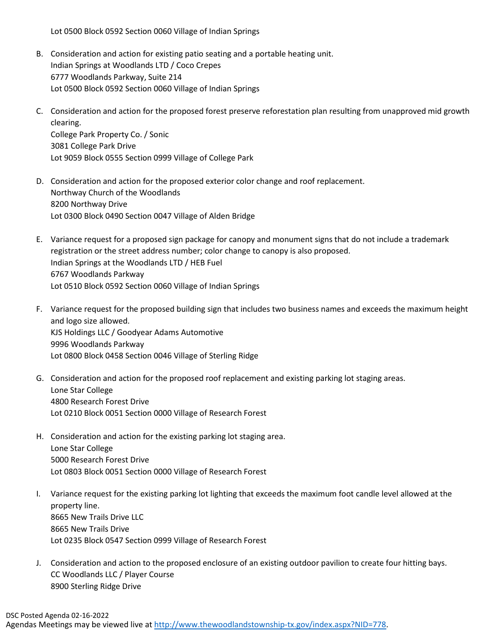Lot 0500 Block 0592 Section 0060 Village of Indian Springs

- B. Consideration and action for existing patio seating and a portable heating unit. Indian Springs at Woodlands LTD / Coco Crepes 6777 Woodlands Parkway, Suite 214 Lot 0500 Block 0592 Section 0060 Village of Indian Springs
- C. Consideration and action for the proposed forest preserve reforestation plan resulting from unapproved mid growth clearing. College Park Property Co. / Sonic 3081 College Park Drive Lot 9059 Block 0555 Section 0999 Village of College Park
- D. Consideration and action for the proposed exterior color change and roof replacement. Northway Church of the Woodlands 8200 Northway Drive Lot 0300 Block 0490 Section 0047 Village of Alden Bridge
- E. Variance request for a proposed sign package for canopy and monument signs that do not include a trademark registration or the street address number; color change to canopy is also proposed. Indian Springs at the Woodlands LTD / HEB Fuel 6767 Woodlands Parkway Lot 0510 Block 0592 Section 0060 Village of Indian Springs
- F. Variance request for the proposed building sign that includes two business names and exceeds the maximum height and logo size allowed. KJS Holdings LLC / Goodyear Adams Automotive 9996 Woodlands Parkway Lot 0800 Block 0458 Section 0046 Village of Sterling Ridge
- G. Consideration and action for the proposed roof replacement and existing parking lot staging areas. Lone Star College 4800 Research Forest Drive Lot 0210 Block 0051 Section 0000 Village of Research Forest
- H. Consideration and action for the existing parking lot staging area. Lone Star College 5000 Research Forest Drive Lot 0803 Block 0051 Section 0000 Village of Research Forest
- I. Variance request for the existing parking lot lighting that exceeds the maximum foot candle level allowed at the property line. 8665 New Trails Drive LLC 8665 New Trails Drive Lot 0235 Block 0547 Section 0999 Village of Research Forest
- J. Consideration and action to the proposed enclosure of an existing outdoor pavilion to create four hitting bays. CC Woodlands LLC / Player Course 8900 Sterling Ridge Drive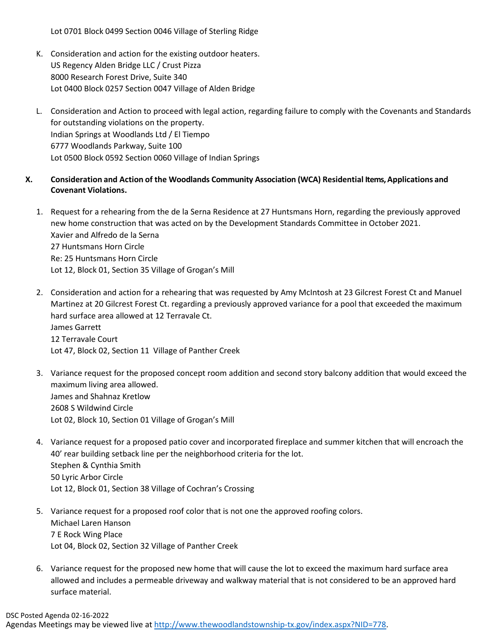Lot 0701 Block 0499 Section 0046 Village of Sterling Ridge

- K. Consideration and action for the existing outdoor heaters. US Regency Alden Bridge LLC / Crust Pizza 8000 Research Forest Drive, Suite 340 Lot 0400 Block 0257 Section 0047 Village of Alden Bridge
- L. Consideration and Action to proceed with legal action, regarding failure to comply with the Covenants and Standards for outstanding violations on the property. Indian Springs at Woodlands Ltd / El Tiempo 6777 Woodlands Parkway, Suite 100 Lot 0500 Block 0592 Section 0060 Village of Indian Springs
- **X. Consideration and Action of the Woodlands Community Association (WCA) Residential Items, Applications and Covenant Violations.**
	- 1. Request for a rehearing from the de la Serna Residence at 27 Huntsmans Horn, regarding the previously approved new home construction that was acted on by the Development Standards Committee in October 2021. Xavier and Alfredo de la Serna 27 Huntsmans Horn Circle Re: 25 Huntsmans Horn Circle Lot 12, Block 01, Section 35 Village of Grogan's Mill
	- 2. Consideration and action for a rehearing that was requested by Amy McIntosh at 23 Gilcrest Forest Ct and Manuel Martinez at 20 Gilcrest Forest Ct. regarding a previously approved variance for a pool that exceeded the maximum hard surface area allowed at 12 Terravale Ct. James Garrett 12 Terravale Court Lot 47, Block 02, Section 11 Village of Panther Creek
	- 3. Variance request for the proposed concept room addition and second story balcony addition that would exceed the maximum living area allowed. James and Shahnaz Kretlow 2608 S Wildwind Circle Lot 02, Block 10, Section 01 Village of Grogan's Mill
	- 4. Variance request for a proposed patio cover and incorporated fireplace and summer kitchen that will encroach the 40' rear building setback line per the neighborhood criteria for the lot. Stephen & Cynthia Smith 50 Lyric Arbor Circle Lot 12, Block 01, Section 38 Village of Cochran's Crossing
	- 5. Variance request for a proposed roof color that is not one the approved roofing colors. Michael Laren Hanson 7 E Rock Wing Place Lot 04, Block 02, Section 32 Village of Panther Creek
	- 6. Variance request for the proposed new home that will cause the lot to exceed the maximum hard surface area allowed and includes a permeable driveway and walkway material that is not considered to be an approved hard surface material.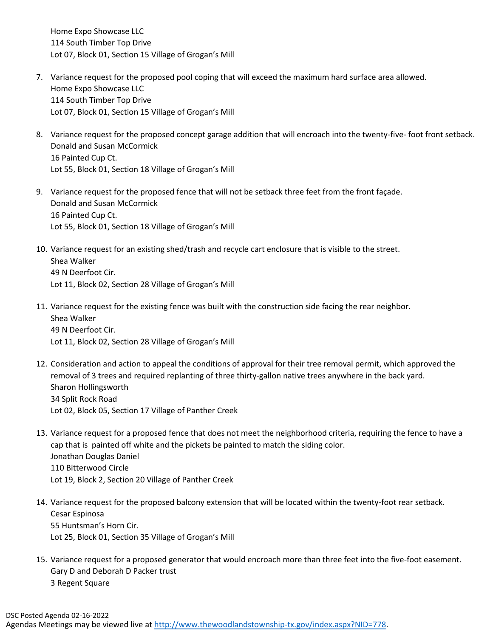Home Expo Showcase LLC 114 South Timber Top Drive Lot 07, Block 01, Section 15 Village of Grogan's Mill

- 7. Variance request for the proposed pool coping that will exceed the maximum hard surface area allowed. Home Expo Showcase LLC 114 South Timber Top Drive Lot 07, Block 01, Section 15 Village of Grogan's Mill
- 8. Variance request for the proposed concept garage addition that will encroach into the twenty-five- foot front setback. Donald and Susan McCormick 16 Painted Cup Ct. Lot 55, Block 01, Section 18 Village of Grogan's Mill
- 9. Variance request for the proposed fence that will not be setback three feet from the front façade. Donald and Susan McCormick 16 Painted Cup Ct. Lot 55, Block 01, Section 18 Village of Grogan's Mill
- 10. Variance request for an existing shed/trash and recycle cart enclosure that is visible to the street. Shea Walker 49 N Deerfoot Cir. Lot 11, Block 02, Section 28 Village of Grogan's Mill
- 11. Variance request for the existing fence was built with the construction side facing the rear neighbor. Shea Walker 49 N Deerfoot Cir. Lot 11, Block 02, Section 28 Village of Grogan's Mill
- 12. Consideration and action to appeal the conditions of approval for their tree removal permit, which approved the removal of 3 trees and required replanting of three thirty-gallon native trees anywhere in the back yard. Sharon Hollingsworth 34 Split Rock Road Lot 02, Block 05, Section 17 Village of Panther Creek
- 13. Variance request for a proposed fence that does not meet the neighborhood criteria, requiring the fence to have a cap that is painted off white and the pickets be painted to match the siding color. Jonathan Douglas Daniel 110 Bitterwood Circle Lot 19, Block 2, Section 20 Village of Panther Creek
- 14. Variance request for the proposed balcony extension that will be located within the twenty-foot rear setback. Cesar Espinosa 55 Huntsman's Horn Cir. Lot 25, Block 01, Section 35 Village of Grogan's Mill
- 15. Variance request for a proposed generator that would encroach more than three feet into the five-foot easement. Gary D and Deborah D Packer trust 3 Regent Square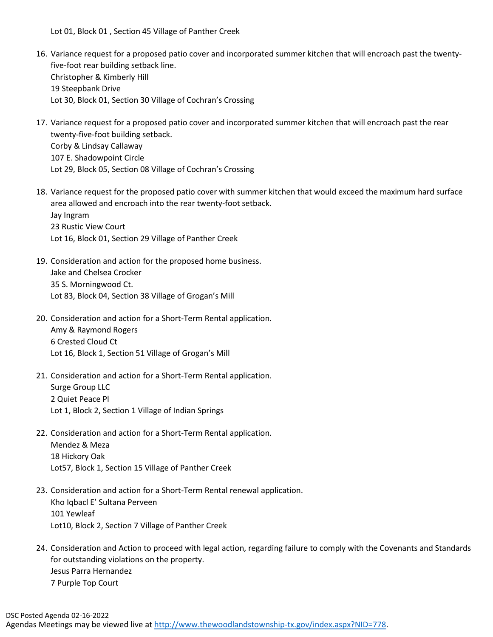Lot 01, Block 01 , Section 45 Village of Panther Creek

- 16. Variance request for a proposed patio cover and incorporated summer kitchen that will encroach past the twentyfive-foot rear building setback line. Christopher & Kimberly Hill 19 Steepbank Drive Lot 30, Block 01, Section 30 Village of Cochran's Crossing
- 17. Variance request for a proposed patio cover and incorporated summer kitchen that will encroach past the rear twenty-five-foot building setback. Corby & Lindsay Callaway 107 E. Shadowpoint Circle Lot 29, Block 05, Section 08 Village of Cochran's Crossing
- 18. Variance request for the proposed patio cover with summer kitchen that would exceed the maximum hard surface area allowed and encroach into the rear twenty-foot setback. Jay Ingram 23 Rustic View Court Lot 16, Block 01, Section 29 Village of Panther Creek
- 19. Consideration and action for the proposed home business. Jake and Chelsea Crocker 35 S. Morningwood Ct. Lot 83, Block 04, Section 38 Village of Grogan's Mill
- 20. Consideration and action for a Short-Term Rental application. Amy & Raymond Rogers 6 Crested Cloud Ct Lot 16, Block 1, Section 51 Village of Grogan's Mill
- 21. Consideration and action for a Short-Term Rental application. Surge Group LLC 2 Quiet Peace Pl Lot 1, Block 2, Section 1 Village of Indian Springs
- 22. Consideration and action for a Short-Term Rental application. Mendez & Meza 18 Hickory Oak Lot57, Block 1, Section 15 Village of Panther Creek
- 23. Consideration and action for a Short-Term Rental renewal application. Kho Iqbacl E' Sultana Perveen 101 Yewleaf Lot10, Block 2, Section 7 Village of Panther Creek
- 24. Consideration and Action to proceed with legal action, regarding failure to comply with the Covenants and Standards for outstanding violations on the property. Jesus Parra Hernandez 7 Purple Top Court